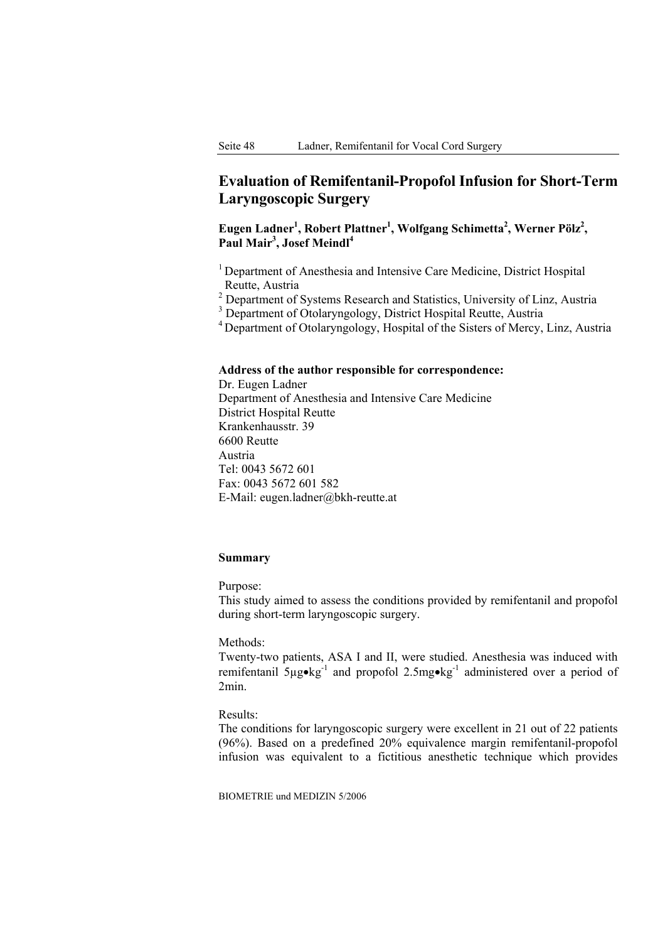# **Evaluation of Remifentanil-Propofol Infusion for Short-Term Laryngoscopic Surgery**

# Eugen Ladner<sup>1</sup>, Robert Plattner<sup>1</sup>, Wolfgang Schimetta<sup>2</sup>, Werner Pölz<sup>2</sup>, **Paul Mair3 , Josef Meindl<sup>4</sup>**

<sup>1</sup> Department of Anesthesia and Intensive Care Medicine, District Hospital Reutte, Austria

<sup>2</sup> Department of Systems Research and Statistics, University of Linz, Austria

<sup>3</sup> Department of Otolaryngology, District Hospital Reutte, Austria

4 Department of Otolaryngology, Hospital of the Sisters of Mercy, Linz, Austria

### **Address of the author responsible for correspondence:**

Dr. Eugen Ladner Department of Anesthesia and Intensive Care Medicine District Hospital Reutte Krankenhausstr. 39 6600 Reutte Austria Tel: 0043 5672 601 Fax: 0043 5672 601 582 E-Mail: eugen.ladner@bkh-reutte.at

## **Summary**

Purpose:

This study aimed to assess the conditions provided by remifentanil and propofol during short-term laryngoscopic surgery.

Methods:

Twenty-two patients, ASA I and II, were studied. Anesthesia was induced with remifentanil 5µg•kg-1 and propofol 2.5mg•kg-1 administered over a period of 2min.

Results:

The conditions for laryngoscopic surgery were excellent in 21 out of 22 patients (96%). Based on a predefined 20% equivalence margin remifentanil-propofol infusion was equivalent to a fictitious anesthetic technique which provides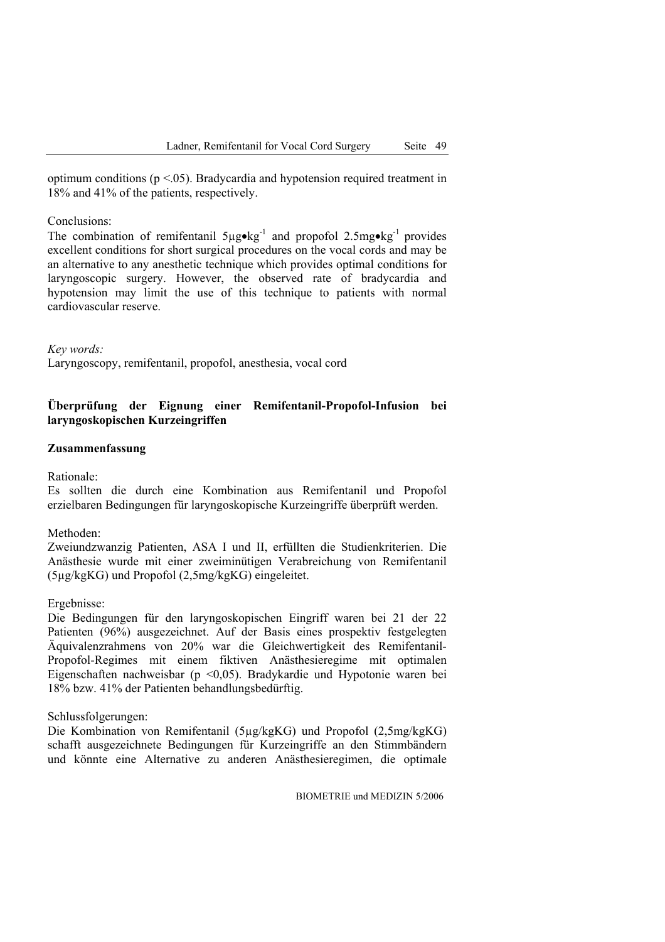optimum conditions ( $p < 0.05$ ). Bradycardia and hypotension required treatment in 18% and 41% of the patients, respectively.

#### Conclusions:

The combination of remifentanil  $5\mu g \cdot kg^{-1}$  and propofol 2.5mg $\cdot kg^{-1}$  provides excellent conditions for short surgical procedures on the vocal cords and may be an alternative to any anesthetic technique which provides optimal conditions for laryngoscopic surgery. However, the observed rate of bradycardia and hypotension may limit the use of this technique to patients with normal cardiovascular reserve.

*Key words:* 

Laryngoscopy, remifentanil, propofol, anesthesia, vocal cord

### **Überprüfung der Eignung einer Remifentanil-Propofol-Infusion bei laryngoskopischen Kurzeingriffen**

#### **Zusammenfassung**

#### Rationale:

Es sollten die durch eine Kombination aus Remifentanil und Propofol erzielbaren Bedingungen für laryngoskopische Kurzeingriffe überprüft werden.

Methoden:

Zweiundzwanzig Patienten, ASA I und II, erfüllten die Studienkriterien. Die Anästhesie wurde mit einer zweiminütigen Verabreichung von Remifentanil (5µg/kgKG) und Propofol (2,5mg/kgKG) eingeleitet.

Ergebnisse:

Die Bedingungen für den laryngoskopischen Eingriff waren bei 21 der 22 Patienten (96%) ausgezeichnet. Auf der Basis eines prospektiv festgelegten Äquivalenzrahmens von 20% war die Gleichwertigkeit des Remifentanil-Propofol-Regimes mit einem fiktiven Anästhesieregime mit optimalen Eigenschaften nachweisbar (p <0,05). Bradykardie und Hypotonie waren bei 18% bzw. 41% der Patienten behandlungsbedürftig.

Schlussfolgerungen:

Die Kombination von Remifentanil (5µg/kgKG) und Propofol (2,5mg/kgKG) schafft ausgezeichnete Bedingungen für Kurzeingriffe an den Stimmbändern und könnte eine Alternative zu anderen Anästhesieregimen, die optimale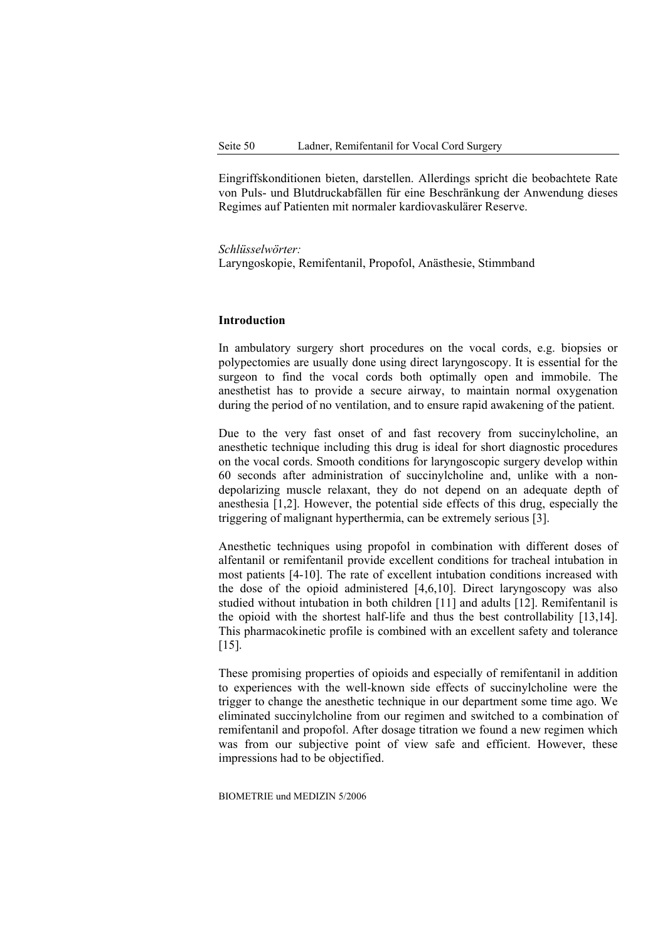Eingriffskonditionen bieten, darstellen. Allerdings spricht die beobachtete Rate von Puls- und Blutdruckabfällen für eine Beschränkung der Anwendung dieses Regimes auf Patienten mit normaler kardiovaskulärer Reserve.

*Schlüsselwörter:*  Laryngoskopie, Remifentanil, Propofol, Anästhesie, Stimmband

#### **Introduction**

In ambulatory surgery short procedures on the vocal cords, e.g. biopsies or polypectomies are usually done using direct laryngoscopy. It is essential for the surgeon to find the vocal cords both optimally open and immobile. The anesthetist has to provide a secure airway, to maintain normal oxygenation during the period of no ventilation, and to ensure rapid awakening of the patient.

Due to the very fast onset of and fast recovery from succinylcholine, an anesthetic technique including this drug is ideal for short diagnostic procedures on the vocal cords. Smooth conditions for laryngoscopic surgery develop within 60 seconds after administration of succinylcholine and, unlike with a nondepolarizing muscle relaxant, they do not depend on an adequate depth of anesthesia [1,2]. However, the potential side effects of this drug, especially the triggering of malignant hyperthermia, can be extremely serious [3].

Anesthetic techniques using propofol in combination with different doses of alfentanil or remifentanil provide excellent conditions for tracheal intubation in most patients [4-10]. The rate of excellent intubation conditions increased with the dose of the opioid administered [4,6,10]. Direct laryngoscopy was also studied without intubation in both children [11] and adults [12]. Remifentanil is the opioid with the shortest half-life and thus the best controllability [13,14]. This pharmacokinetic profile is combined with an excellent safety and tolerance [15].

These promising properties of opioids and especially of remifentanil in addition to experiences with the well-known side effects of succinylcholine were the trigger to change the anesthetic technique in our department some time ago. We eliminated succinylcholine from our regimen and switched to a combination of remifentanil and propofol. After dosage titration we found a new regimen which was from our subjective point of view safe and efficient. However, these impressions had to be objectified.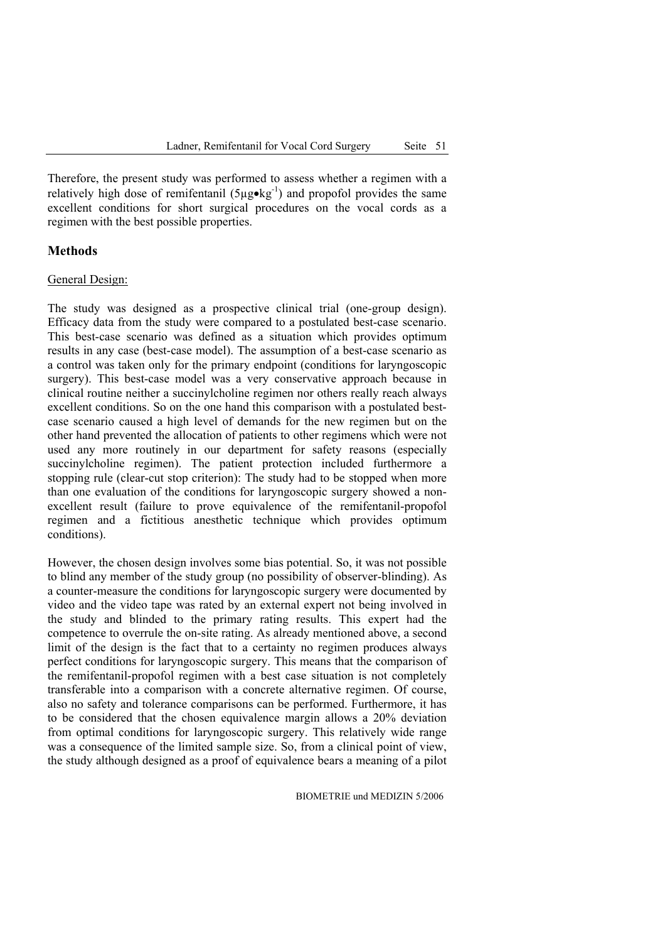Therefore, the present study was performed to assess whether a regimen with a relatively high dose of remifentanil  $(5\mu g \cdot kg^{-1})$  and propofol provides the same excellent conditions for short surgical procedures on the vocal cords as a regimen with the best possible properties.

# **Methods**

#### General Design:

The study was designed as a prospective clinical trial (one-group design). Efficacy data from the study were compared to a postulated best-case scenario. This best-case scenario was defined as a situation which provides optimum results in any case (best-case model). The assumption of a best-case scenario as a control was taken only for the primary endpoint (conditions for laryngoscopic surgery). This best-case model was a very conservative approach because in clinical routine neither a succinylcholine regimen nor others really reach always excellent conditions. So on the one hand this comparison with a postulated bestcase scenario caused a high level of demands for the new regimen but on the other hand prevented the allocation of patients to other regimens which were not used any more routinely in our department for safety reasons (especially succinylcholine regimen). The patient protection included furthermore a stopping rule (clear-cut stop criterion): The study had to be stopped when more than one evaluation of the conditions for laryngoscopic surgery showed a nonexcellent result (failure to prove equivalence of the remifentanil-propofol regimen and a fictitious anesthetic technique which provides optimum conditions).

However, the chosen design involves some bias potential. So, it was not possible to blind any member of the study group (no possibility of observer-blinding). As a counter-measure the conditions for laryngoscopic surgery were documented by video and the video tape was rated by an external expert not being involved in the study and blinded to the primary rating results. This expert had the competence to overrule the on-site rating. As already mentioned above, a second limit of the design is the fact that to a certainty no regimen produces always perfect conditions for laryngoscopic surgery. This means that the comparison of the remifentanil-propofol regimen with a best case situation is not completely transferable into a comparison with a concrete alternative regimen. Of course, also no safety and tolerance comparisons can be performed. Furthermore, it has to be considered that the chosen equivalence margin allows a 20% deviation from optimal conditions for laryngoscopic surgery. This relatively wide range was a consequence of the limited sample size. So, from a clinical point of view, the study although designed as a proof of equivalence bears a meaning of a pilot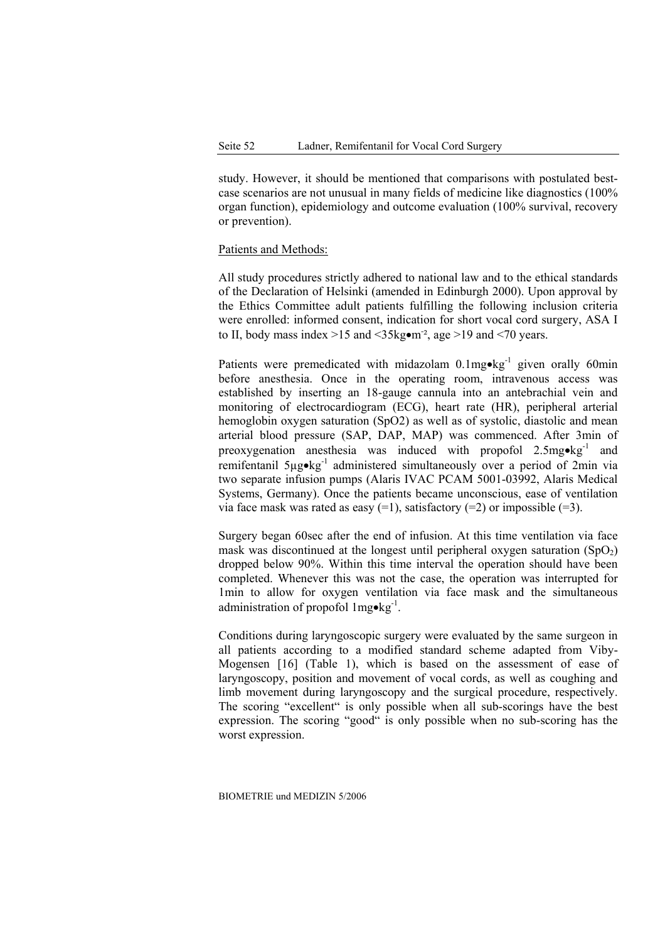study. However, it should be mentioned that comparisons with postulated bestcase scenarios are not unusual in many fields of medicine like diagnostics (100% organ function), epidemiology and outcome evaluation (100% survival, recovery or prevention).

### Patients and Methods:

All study procedures strictly adhered to national law and to the ethical standards of the Declaration of Helsinki (amended in Edinburgh 2000). Upon approval by the Ethics Committee adult patients fulfilling the following inclusion criteria were enrolled: informed consent, indication for short vocal cord surgery, ASA I to II, body mass index  $>15$  and  $<$ 35kg $\bullet$ m<sup>-2</sup>, age  $>19$  and  $<$ 70 years.

Patients were premedicated with midazolam  $0.1$ mg•kg<sup>-1</sup> given orally 60min before anesthesia. Once in the operating room, intravenous access was established by inserting an 18-gauge cannula into an antebrachial vein and monitoring of electrocardiogram (ECG), heart rate (HR), peripheral arterial hemoglobin oxygen saturation (SpO2) as well as of systolic, diastolic and mean arterial blood pressure (SAP, DAP, MAP) was commenced. After 3min of preoxygenation anesthesia was induced with propofol  $2.5mg \cdot kg^{-1}$  and remifentanil 5µg•kg-1 administered simultaneously over a period of 2min via two separate infusion pumps (Alaris IVAC PCAM 5001-03992, Alaris Medical Systems, Germany). Once the patients became unconscious, ease of ventilation via face mask was rated as easy  $(=1)$ , satisfactory  $(=2)$  or impossible  $(=3)$ .

Surgery began 60sec after the end of infusion. At this time ventilation via face mask was discontinued at the longest until peripheral oxygen saturation  $(SpO<sub>2</sub>)$ dropped below 90%. Within this time interval the operation should have been completed. Whenever this was not the case, the operation was interrupted for 1min to allow for oxygen ventilation via face mask and the simultaneous administration of propofol  $1$ mg•kg<sup>-1</sup>.

Conditions during laryngoscopic surgery were evaluated by the same surgeon in all patients according to a modified standard scheme adapted from Viby-Mogensen [16] (Table 1), which is based on the assessment of ease of laryngoscopy, position and movement of vocal cords, as well as coughing and limb movement during laryngoscopy and the surgical procedure, respectively. The scoring "excellent" is only possible when all sub-scorings have the best expression. The scoring "good" is only possible when no sub-scoring has the worst expression.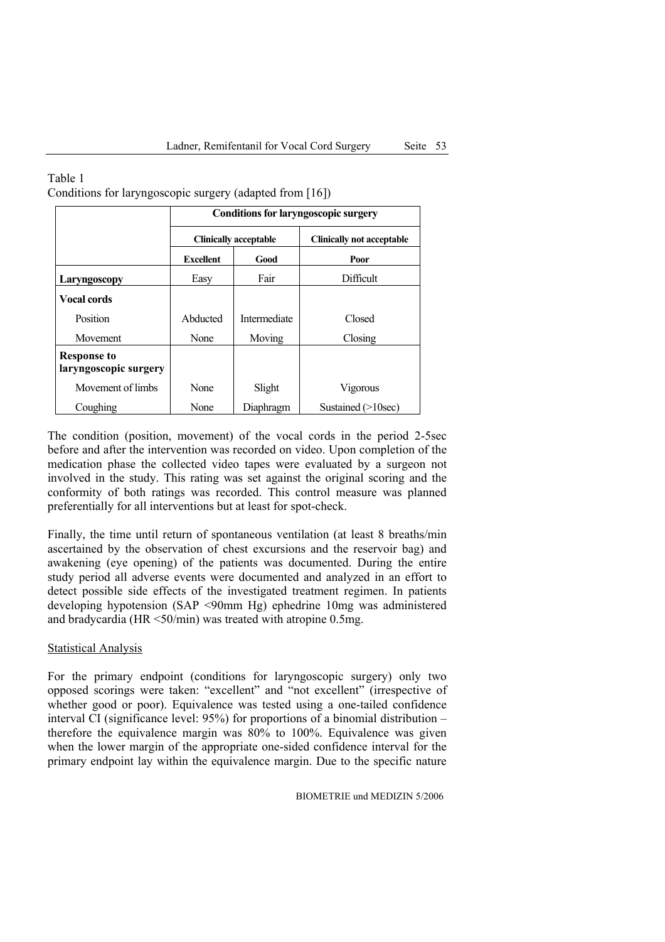|                                             | <b>Conditions for laryngoscopic surgery</b> |                              |                                  |  |  |  |
|---------------------------------------------|---------------------------------------------|------------------------------|----------------------------------|--|--|--|
|                                             |                                             | <b>Clinically acceptable</b> | <b>Clinically not acceptable</b> |  |  |  |
|                                             | <b>Excellent</b>                            | Good                         | Poor                             |  |  |  |
| Laryngoscopy                                | Easy                                        | Fair                         | Difficult                        |  |  |  |
| <b>Vocal cords</b>                          |                                             |                              |                                  |  |  |  |
| Position                                    | Abducted                                    | Intermediate                 | Closed                           |  |  |  |
| Movement                                    | None                                        | Moving                       | Closing                          |  |  |  |
| <b>Response to</b><br>laryngoscopic surgery |                                             |                              |                                  |  |  |  |
| Movement of limbs                           | None                                        | Slight                       | Vigorous                         |  |  |  |
| Coughing                                    | None                                        | Diaphragm                    | Sustained $(>10$ sec)            |  |  |  |

Table 1 Conditions for laryngoscopic surgery (adapted from [16])

The condition (position, movement) of the vocal cords in the period 2-5sec before and after the intervention was recorded on video. Upon completion of the medication phase the collected video tapes were evaluated by a surgeon not involved in the study. This rating was set against the original scoring and the conformity of both ratings was recorded. This control measure was planned preferentially for all interventions but at least for spot-check.

Finally, the time until return of spontaneous ventilation (at least 8 breaths/min ascertained by the observation of chest excursions and the reservoir bag) and awakening (eye opening) of the patients was documented. During the entire study period all adverse events were documented and analyzed in an effort to detect possible side effects of the investigated treatment regimen. In patients developing hypotension (SAP <90mm Hg) ephedrine 10mg was administered and bradycardia (HR <50/min) was treated with atropine 0.5mg.

## Statistical Analysis

For the primary endpoint (conditions for laryngoscopic surgery) only two opposed scorings were taken: "excellent" and "not excellent" (irrespective of whether good or poor). Equivalence was tested using a one-tailed confidence interval CI (significance level: 95%) for proportions of a binomial distribution – therefore the equivalence margin was 80% to 100%. Equivalence was given when the lower margin of the appropriate one-sided confidence interval for the primary endpoint lay within the equivalence margin. Due to the specific nature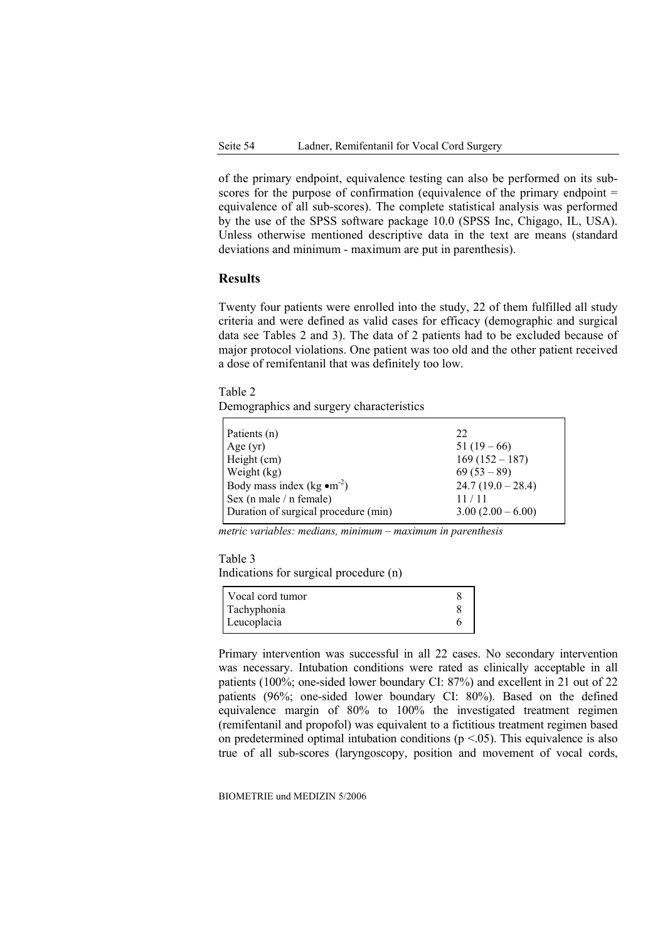of the primary endpoint, equivalence testing can also be performed on its subscores for the purpose of confirmation (equivalence of the primary endpoint = equivalence of all sub-scores). The complete statistical analysis was performed by the use of the SPSS software package 10.0 (SPSS Inc, Chigago, IL, USA). Unless otherwise mentioned descriptive data in the text are means (standard deviations and minimum - maximum are put in parenthesis).

# **Results**

Twenty four patients were enrolled into the study, 22 of them fulfilled all study criteria and were defined as valid cases for efficacy (demographic and surgical data see Tables 2 and 3). The data of 2 patients had to be excluded because of major protocol violations. One patient was too old and the other patient received a dose of remifentanil that was definitely too low.

Table 2

Demographics and surgery characteristics

| Patients (n)                                    | 22                  |
|-------------------------------------------------|---------------------|
| Age(yr)                                         | $51(19-66)$         |
| Height (cm)                                     | $169(152 - 187)$    |
| Weight (kg)                                     | $69(53-89)$         |
| Body mass index (kg $\bullet$ m <sup>-2</sup> ) | $24.7(19.0-28.4)$   |
| Sex (n male / n female)                         | 11/11               |
| Duration of surgical procedure (min)            | $3.00(2.00 - 6.00)$ |

*metric variables: medians, minimum – maximum in parenthesis* 

# Table 3 Indications for surgical procedure (n)

| Vocal cord tumor |  |
|------------------|--|
| Tachyphonia      |  |
| Leucoplacia      |  |

Primary intervention was successful in all 22 cases. No secondary intervention was necessary. Intubation conditions were rated as clinically acceptable in all patients (100%; one-sided lower boundary CI: 87%) and excellent in 21 out of 22 patients (96%; one-sided lower boundary CI: 80%). Based on the defined equivalence margin of 80% to 100% the investigated treatment regimen (remifentanil and propofol) was equivalent to a fictitious treatment regimen based on predetermined optimal intubation conditions  $(p < .05)$ . This equivalence is also true of all sub-scores (laryngoscopy, position and movement of vocal cords,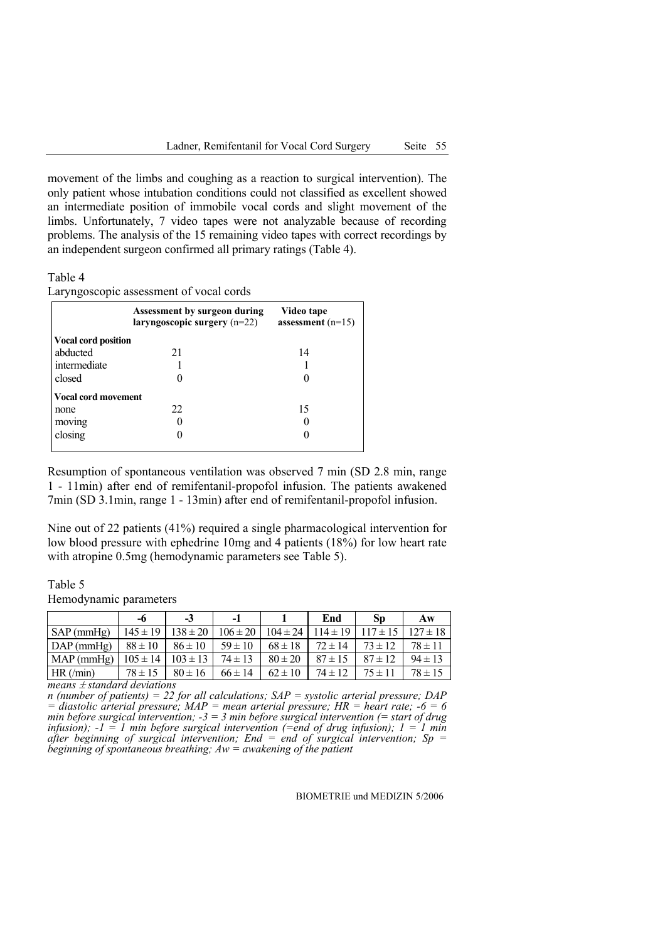movement of the limbs and coughing as a reaction to surgical intervention). The only patient whose intubation conditions could not classified as excellent showed an intermediate position of immobile vocal cords and slight movement of the limbs. Unfortunately, 7 video tapes were not analyzable because of recording problems. The analysis of the 15 remaining video tapes with correct recordings by an independent surgeon confirmed all primary ratings (Table 4).

#### Table 4

|                            | Assessment by surgeon during<br>$laryngoscopic surgery (n=22)$ | Video tape<br>assessment $(n=15)$ |  |  |
|----------------------------|----------------------------------------------------------------|-----------------------------------|--|--|
| <b>Vocal cord position</b> |                                                                |                                   |  |  |
| abducted                   | 21                                                             | 14                                |  |  |
| intermediate               |                                                                |                                   |  |  |
| closed                     |                                                                |                                   |  |  |
| <b>Vocal cord movement</b> |                                                                |                                   |  |  |
| none                       | 22                                                             | 15                                |  |  |
| moving                     |                                                                |                                   |  |  |
| closing                    |                                                                |                                   |  |  |
|                            |                                                                |                                   |  |  |

Laryngoscopic assessment of vocal cords

Resumption of spontaneous ventilation was observed 7 min (SD 2.8 min, range 1 - 11min) after end of remifentanil-propofol infusion. The patients awakened 7min (SD 3.1min, range 1 - 13min) after end of remifentanil-propofol infusion.

Nine out of 22 patients (41%) required a single pharmacological intervention for low blood pressure with ephedrine 10mg and 4 patients (18%) for low heart rate with atropine 0.5mg (hemodynamic parameters see Table 5).

# Table 5 Hemodynamic parameters

|                                | -6           | -3           | - 1          |              | End          | SD           | Aw           |
|--------------------------------|--------------|--------------|--------------|--------------|--------------|--------------|--------------|
| $SAP$ (mmHg)                   | $145 \pm 19$ | $138 \pm 20$ | $106 \pm 20$ | $104 \pm 24$ | $114 \pm 19$ | $117 \pm 15$ | $127 \pm 18$ |
| $DAP$ (mmHg)                   | $88 \pm 10$  | $86 \pm 10$  | $59 \pm 10$  | $68 \pm 18$  | $72 \pm 14$  | $73 \pm 12$  | $78 \pm 11$  |
| $MAP$ (mmHg)                   | $105 \pm 14$ | $103 \pm 13$ | $74 \pm 13$  | $80 \pm 20$  | $87 \pm 15$  | $87 \pm 12$  | $94 \pm 13$  |
| $HR(\text{min})$               | $78 \pm 15$  | $80 \pm 16$  | $66 \pm 14$  | $62 \pm 10$  | $74 \pm 12$  | $75 \pm 11$  | $78 \pm 15$  |
| $measure + standard deviation$ |              |              |              |              |              |              |              |

*means* ± *standard deviations* 

*n (number of patients) = 22 for all calculations; SAP = systolic arterial pressure; DAP*   $=$  diastolic arterial pressure; MAP = mean arterial pressure; HR = heart rate;  $-6 = 6$ *min before surgical intervention; -3 = 3 min before surgical intervention (= start of drug infusion);*  $-1 = 1$  *min before surgical intervention (=end of drug infusion);*  $1 = 1$  *min after beginning of surgical intervention; End = end of surgical intervention; Sp = beginning of spontaneous breathing; Aw = awakening of the patient*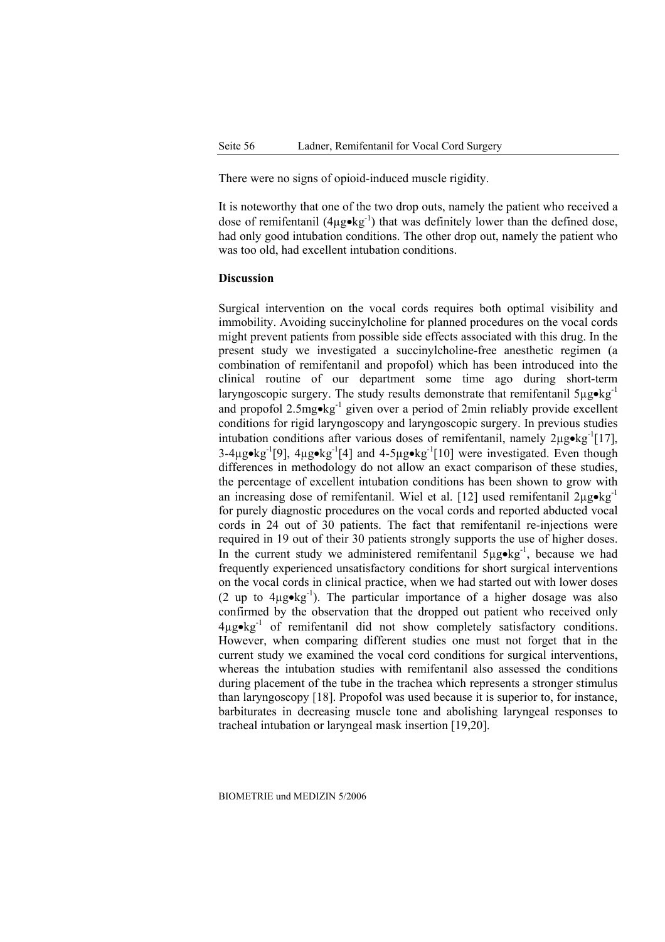There were no signs of opioid-induced muscle rigidity.

It is noteworthy that one of the two drop outs, namely the patient who received a dose of remifentanil  $(4\mu\gamma \cdot kq^{-1})$  that was definitely lower than the defined dose, had only good intubation conditions. The other drop out, namely the patient who was too old, had excellent intubation conditions.

### **Discussion**

Surgical intervention on the vocal cords requires both optimal visibility and immobility. Avoiding succinylcholine for planned procedures on the vocal cords might prevent patients from possible side effects associated with this drug. In the present study we investigated a succinylcholine-free anesthetic regimen (a combination of remifentanil and propofol) which has been introduced into the clinical routine of our department some time ago during short-term laryngoscopic surgery. The study results demonstrate that remifentanil  $5\mu$ g•kg<sup>-1</sup> and propofol  $2.5mg \cdot kg^{-1}$  given over a period of 2min reliably provide excellent conditions for rigid laryngoscopy and laryngoscopic surgery. In previous studies intubation conditions after various doses of remifentanil, namely  $2\mu\omega\epsilon\mathbf{kg}^{-1}[17]$ ,  $3-4\mu$ g•kg<sup>-1</sup>[9],  $4\mu$ g•kg<sup>-1</sup>[4] and  $4-5\mu$ g•kg<sup>-1</sup>[10] were investigated. Even though differences in methodology do not allow an exact comparison of these studies, the percentage of excellent intubation conditions has been shown to grow with an increasing dose of remifentanil. Wiel et al. [12] used remifentanil  $2\mu$ g•kg<sup>-1</sup> for purely diagnostic procedures on the vocal cords and reported abducted vocal cords in 24 out of 30 patients. The fact that remifentanil re-injections were required in 19 out of their 30 patients strongly supports the use of higher doses. In the current study we administered remifentanil  $5\mu\text{g} \cdot \text{kg}^{-1}$ , because we had frequently experienced unsatisfactory conditions for short surgical interventions on the vocal cords in clinical practice, when we had started out with lower doses (2 up to  $4\mu\varrho\cdot\ker^{-1}$ ). The particular importance of a higher dosage was also confirmed by the observation that the dropped out patient who received only  $4\mu$ g•kg<sup>-1</sup> of remifentanil did not show completely satisfactory conditions. However, when comparing different studies one must not forget that in the current study we examined the vocal cord conditions for surgical interventions, whereas the intubation studies with remifentanil also assessed the conditions during placement of the tube in the trachea which represents a stronger stimulus than laryngoscopy [18]. Propofol was used because it is superior to, for instance, barbiturates in decreasing muscle tone and abolishing laryngeal responses to tracheal intubation or laryngeal mask insertion [19,20].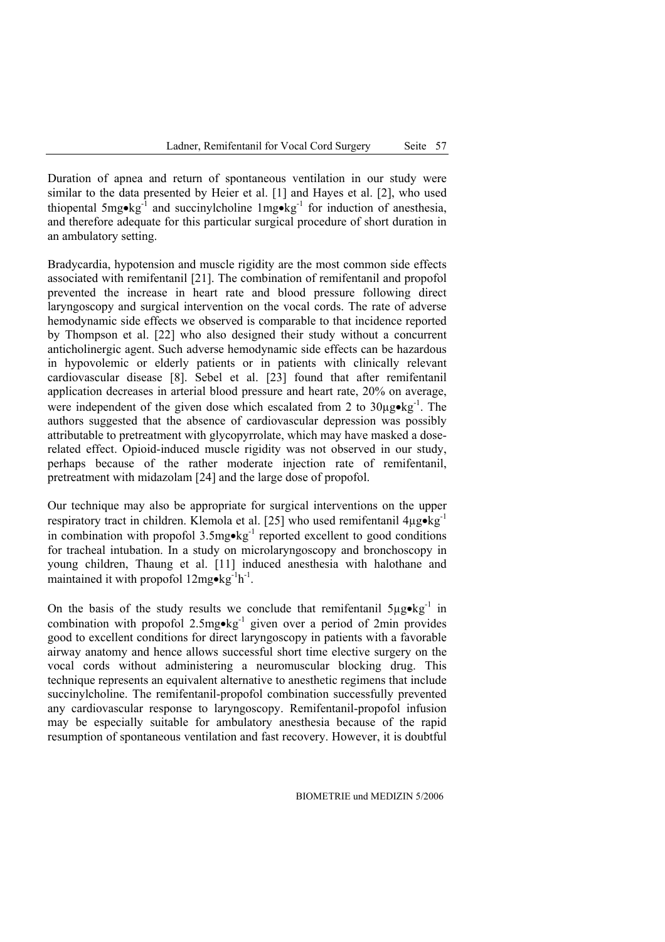Duration of apnea and return of spontaneous ventilation in our study were similar to the data presented by Heier et al. [1] and Hayes et al. [2], who used thiopental  $5$ mg•kg $^{-1}$  and succinvlcholine  $1$ mg•kg $^{-1}$  for induction of anesthesia, and therefore adequate for this particular surgical procedure of short duration in an ambulatory setting.

Bradycardia, hypotension and muscle rigidity are the most common side effects associated with remifentanil [21]. The combination of remifentanil and propofol prevented the increase in heart rate and blood pressure following direct laryngoscopy and surgical intervention on the vocal cords. The rate of adverse hemodynamic side effects we observed is comparable to that incidence reported by Thompson et al. [22] who also designed their study without a concurrent anticholinergic agent. Such adverse hemodynamic side effects can be hazardous in hypovolemic or elderly patients or in patients with clinically relevant cardiovascular disease [8]. Sebel et al. [23] found that after remifentanil application decreases in arterial blood pressure and heart rate, 20% on average, were independent of the given dose which escalated from 2 to 30µg•kg-1. The authors suggested that the absence of cardiovascular depression was possibly attributable to pretreatment with glycopyrrolate, which may have masked a doserelated effect. Opioid-induced muscle rigidity was not observed in our study, perhaps because of the rather moderate injection rate of remifentanil, pretreatment with midazolam [24] and the large dose of propofol.

Our technique may also be appropriate for surgical interventions on the upper respiratory tract in children. Klemola et al. [25] who used remifentanil  $4\mu g \cdot kg^{-1}$ in combination with propofol 3.5mg•kg<sup>-1</sup> reported excellent to good conditions for tracheal intubation. In a study on microlaryngoscopy and bronchoscopy in young children, Thaung et al. [11] induced anesthesia with halothane and maintained it with propofol  $12mg \cdot kg^{-1}h^{-1}$ .

On the basis of the study results we conclude that remifentanil  $5\mu\omega\text{-}kg^{-1}$  in combination with propofol  $2.5$ mg•kg $^{-1}$  given over a period of 2min provides good to excellent conditions for direct laryngoscopy in patients with a favorable airway anatomy and hence allows successful short time elective surgery on the vocal cords without administering a neuromuscular blocking drug. This technique represents an equivalent alternative to anesthetic regimens that include succinylcholine. The remifentanil-propofol combination successfully prevented any cardiovascular response to laryngoscopy. Remifentanil-propofol infusion may be especially suitable for ambulatory anesthesia because of the rapid resumption of spontaneous ventilation and fast recovery. However, it is doubtful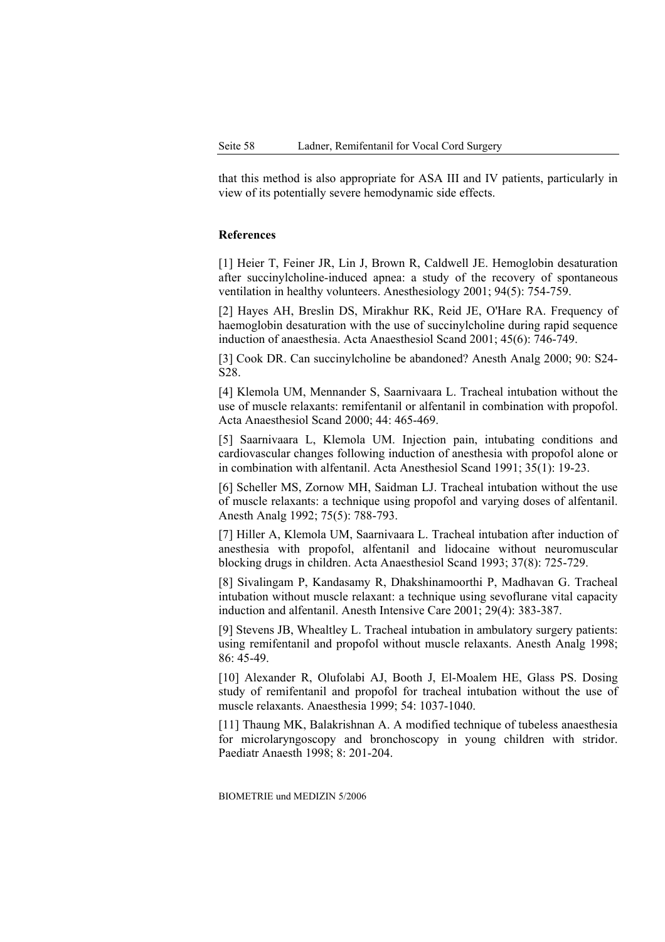that this method is also appropriate for ASA III and IV patients, particularly in view of its potentially severe hemodynamic side effects.

# **References**

[1] Heier T, Feiner JR, Lin J, Brown R, Caldwell JE. Hemoglobin desaturation after succinylcholine-induced apnea: a study of the recovery of spontaneous ventilation in healthy volunteers. Anesthesiology 2001; 94(5): 754-759.

[2] Hayes AH, Breslin DS, Mirakhur RK, Reid JE, O'Hare RA. Frequency of haemoglobin desaturation with the use of succinylcholine during rapid sequence induction of anaesthesia. Acta Anaesthesiol Scand 2001; 45(6): 746-749.

[3] Cook DR. Can succinylcholine be abandoned? Anesth Analg 2000; 90: S24- S28.

[4] Klemola UM, Mennander S, Saarnivaara L. Tracheal intubation without the use of muscle relaxants: remifentanil or alfentanil in combination with propofol. Acta Anaesthesiol Scand 2000; 44: 465-469.

[5] Saarnivaara L, Klemola UM. Injection pain, intubating conditions and cardiovascular changes following induction of anesthesia with propofol alone or in combination with alfentanil. Acta Anesthesiol Scand 1991; 35(1): 19-23.

[6] Scheller MS, Zornow MH, Saidman LJ. Tracheal intubation without the use of muscle relaxants: a technique using propofol and varying doses of alfentanil. Anesth Analg 1992; 75(5): 788-793.

[7] Hiller A, Klemola UM, Saarnivaara L. Tracheal intubation after induction of anesthesia with propofol, alfentanil and lidocaine without neuromuscular blocking drugs in children. Acta Anaesthesiol Scand 1993; 37(8): 725-729.

[8] Sivalingam P, Kandasamy R, Dhakshinamoorthi P, Madhavan G. Tracheal intubation without muscle relaxant: a technique using sevoflurane vital capacity induction and alfentanil. Anesth Intensive Care 2001; 29(4): 383-387.

[9] Stevens JB, Whealtley L. Tracheal intubation in ambulatory surgery patients: using remifentanil and propofol without muscle relaxants. Anesth Analg 1998; 86: 45-49.

[10] Alexander R, Olufolabi AJ, Booth J, El-Moalem HE, Glass PS. Dosing study of remifentanil and propofol for tracheal intubation without the use of muscle relaxants. Anaesthesia 1999; 54: 1037-1040.

[11] Thaung MK, Balakrishnan A. A modified technique of tubeless anaesthesia for microlaryngoscopy and bronchoscopy in young children with stridor. Paediatr Anaesth 1998; 8: 201-204.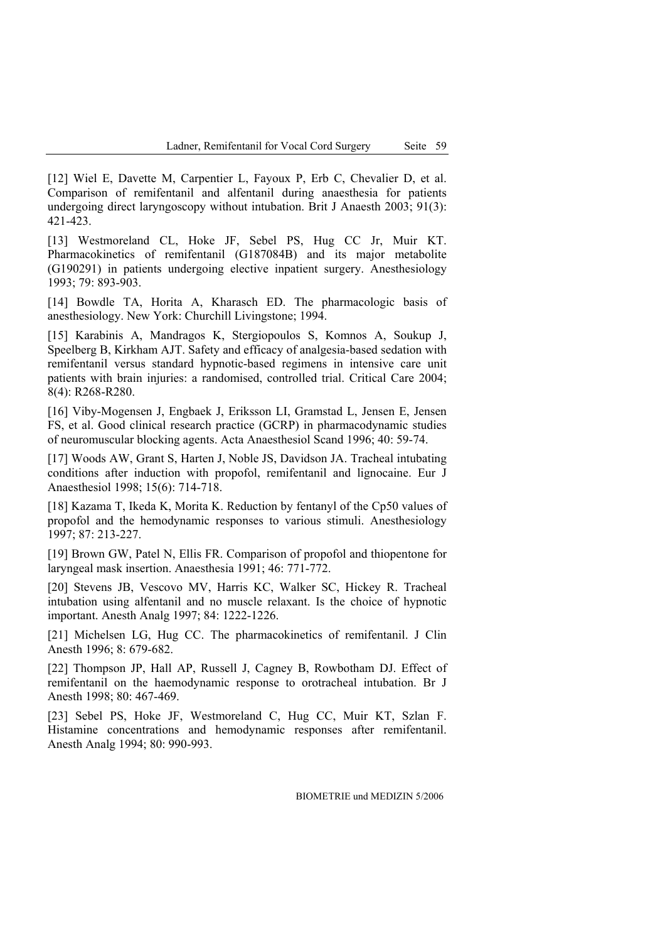[12] Wiel E, Davette M, Carpentier L, Fayoux P, Erb C, Chevalier D, et al. Comparison of remifentanil and alfentanil during anaesthesia for patients undergoing direct laryngoscopy without intubation. Brit J Anaesth 2003; 91(3): 421-423.

[13] Westmoreland CL, Hoke JF, Sebel PS, Hug CC Jr, Muir KT. Pharmacokinetics of remifentanil (G187084B) and its major metabolite (G190291) in patients undergoing elective inpatient surgery. Anesthesiology 1993; 79: 893-903.

[14] Bowdle TA, Horita A, Kharasch ED. The pharmacologic basis of anesthesiology. New York: Churchill Livingstone; 1994.

[15] Karabinis A, Mandragos K, Stergiopoulos S, Komnos A, Soukup J, Speelberg B, Kirkham AJT. Safety and efficacy of analgesia-based sedation with remifentanil versus standard hypnotic-based regimens in intensive care unit patients with brain injuries: a randomised, controlled trial. Critical Care 2004; 8(4): R268-R280.

[16] Viby-Mogensen J, Engbaek J, Eriksson LI, Gramstad L, Jensen E, Jensen FS, et al. Good clinical research practice (GCRP) in pharmacodynamic studies of neuromuscular blocking agents. Acta Anaesthesiol Scand 1996; 40: 59-74.

[17] Woods AW, Grant S, Harten J, Noble JS, Davidson JA. Tracheal intubating conditions after induction with propofol, remifentanil and lignocaine. Eur J Anaesthesiol 1998; 15(6): 714-718.

[18] Kazama T, Ikeda K, Morita K. Reduction by fentanyl of the Cp50 values of propofol and the hemodynamic responses to various stimuli. Anesthesiology 1997; 87: 213-227.

[19] Brown GW, Patel N, Ellis FR. Comparison of propofol and thiopentone for laryngeal mask insertion. Anaesthesia 1991; 46: 771-772.

[20] Stevens JB, Vescovo MV, Harris KC, Walker SC, Hickey R. Tracheal intubation using alfentanil and no muscle relaxant. Is the choice of hypnotic important. Anesth Analg 1997; 84: 1222-1226.

[21] Michelsen LG, Hug CC. The pharmacokinetics of remifentanil. J Clin Anesth 1996; 8: 679-682.

[22] Thompson JP, Hall AP, Russell J, Cagney B, Rowbotham DJ. Effect of remifentanil on the haemodynamic response to orotracheal intubation. Br J Anesth 1998; 80: 467-469.

[23] Sebel PS, Hoke JF, Westmoreland C, Hug CC, Muir KT, Szlan F. Histamine concentrations and hemodynamic responses after remifentanil. Anesth Analg 1994; 80: 990-993.